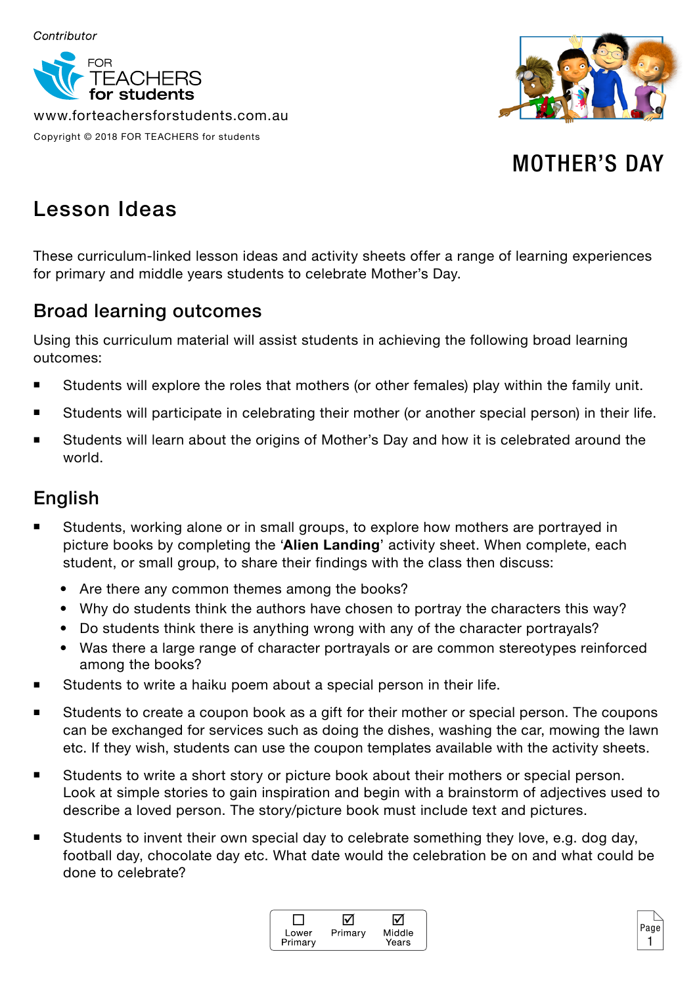

www.forteachersforstudents.com.au Copyright © 2018 FOR TEACHERS for students



## MOTHER'S DAY

## Lesson Ideas

These curriculum-linked lesson ideas and activity sheets offer a range of learning experiences for primary and middle years students to celebrate Mother's Day.

## Broad learning outcomes

Using this curriculum material will assist students in achieving the following broad learning outcomes:

- Students will explore the roles that mothers (or other females) play within the family unit.
- Students will participate in celebrating their mother (or another special person) in their life.
- Students will learn about the origins of Mother's Day and how it is celebrated around the world.

## English

- Students, working alone or in small groups, to explore how mothers are portrayed in picture books by completing the '**Alien Landing**' activity sheet. When complete, each student, or small group, to share their findings with the class then discuss:
	- Are there any common themes among the books?
	- Why do students think the authors have chosen to portray the characters this way?
	- Do students think there is anything wrong with any of the character portrayals?
	- Was there a large range of character portravals or are common stereotypes reinforced among the books?
- Students to write a haiku poem about a special person in their life.
- Students to create a coupon book as a gift for their mother or special person. The coupons can be exchanged for services such as doing the dishes, washing the car, mowing the lawn etc. If they wish, students can use the coupon templates available with the activity sheets.
- Students to write a short story or picture book about their mothers or special person. Look at simple stories to gain inspiration and begin with a brainstorm of adjectives used to describe a loved person. The story/picture book must include text and pictures.
- Students to invent their own special day to celebrate something they love, e.g. dog day, football day, chocolate day etc. What date would the celebration be on and what could be done to celebrate?



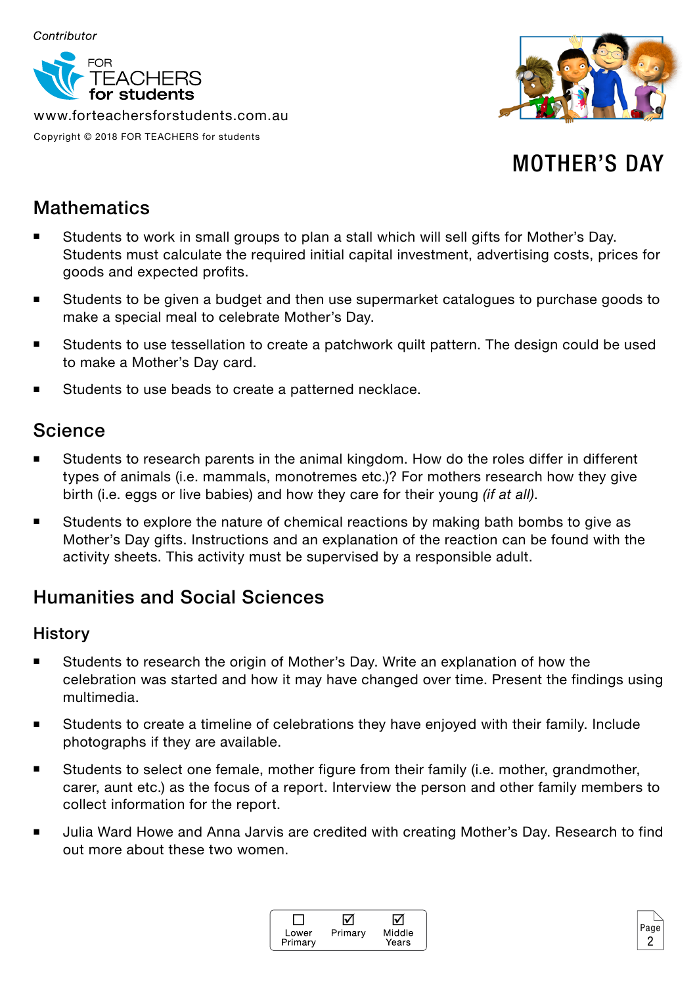

www.forteachersforstudents.com.au Copyright © 2018 FOR TEACHERS for students



# MOTHER'S DAY

## **Mathematics**

- Students to work in small groups to plan a stall which will sell gifts for Mother's Day. Students must calculate the required initial capital investment, advertising costs, prices for goods and expected profits.
- Students to be given a budget and then use supermarket catalogues to purchase goods to make a special meal to celebrate Mother's Day.
- Students to use tessellation to create a patchwork quilt pattern. The design could be used to make a Mother's Day card.
- Students to use beads to create a patterned necklace.

### Science

- Students to research parents in the animal kingdom. How do the roles differ in different types of animals (i.e. mammals, monotremes etc.)? For mothers research how they give birth (i.e. eggs or live babies) and how they care for their young *(if at all)*.
- **Students to explore the nature of chemical reactions by making bath bombs to give as** Mother's Day gifts. Instructions and an explanation of the reaction can be found with the activity sheets. This activity must be supervised by a responsible adult.

## Humanities and Social Sciences

#### **History**

- Students to research the origin of Mother's Day. Write an explanation of how the celebration was started and how it may have changed over time. Present the findings using multimedia.
- Students to create a timeline of celebrations they have enjoyed with their family. Include photographs if they are available.
- Students to select one female, mother figure from their family (i.e. mother, grandmother, carer, aunt etc.) as the focus of a report. Interview the person and other family members to collect information for the report.
- Julia Ward Howe and Anna Jarvis are credited with creating Mother's Day. Research to find out more about these two women.



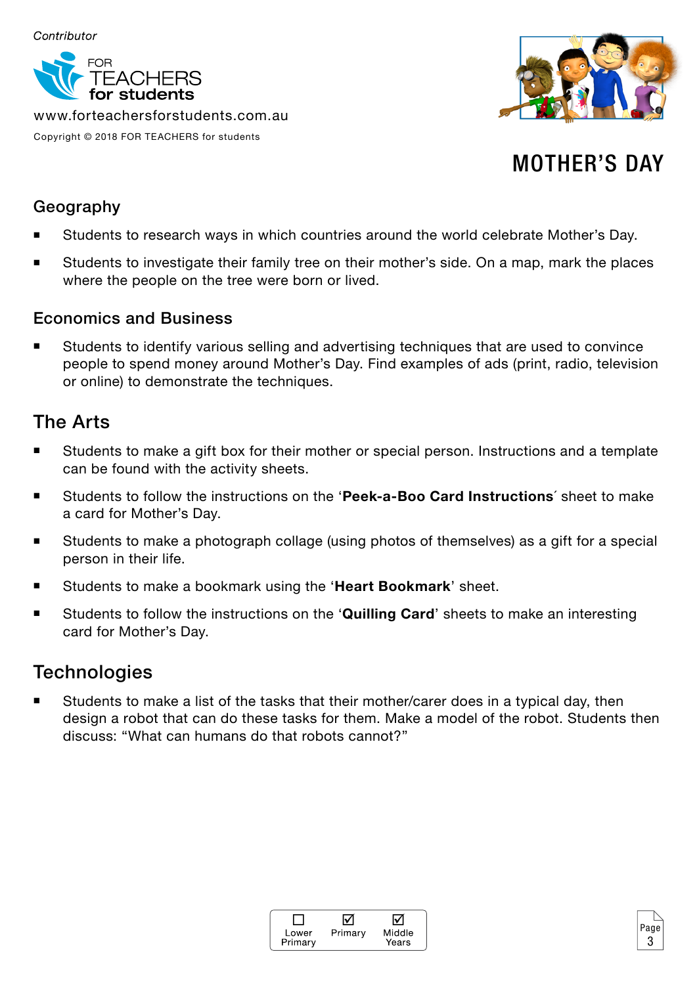

www.forteachersforstudents.com.au Copyright © 2018 FOR TEACHERS for students



## MOTHER'S DAY

3

#### Geography

- Students to research ways in which countries around the world celebrate Mother's Day.
- Students to investigate their family tree on their mother's side. On a map, mark the places where the people on the tree were born or lived.

#### Economics and Business

 Students to identify various selling and advertising techniques that are used to convince people to spend money around Mother's Day. Find examples of ads (print, radio, television or online) to demonstrate the techniques.

#### The Arts

- Students to make a gift box for their mother or special person. Instructions and a template can be found with the activity sheets.
- Students to follow the instructions on the '**Peek-a-Boo Card Instructions**´ sheet to make a card for Mother's Day.
- Students to make a photograph collage (using photos of themselves) as a gift for a special person in their life.
- Students to make a bookmark using the '**Heart Bookmark**' sheet.
- Students to follow the instructions on the 'Quilling Card' sheets to make an interesting card for Mother's Day.

### **Technologies**

 Students to make a list of the tasks that their mother/carer does in a typical day, then design a robot that can do these tasks for them. Make a model of the robot. Students then discuss: "What can humans do that robots cannot?"